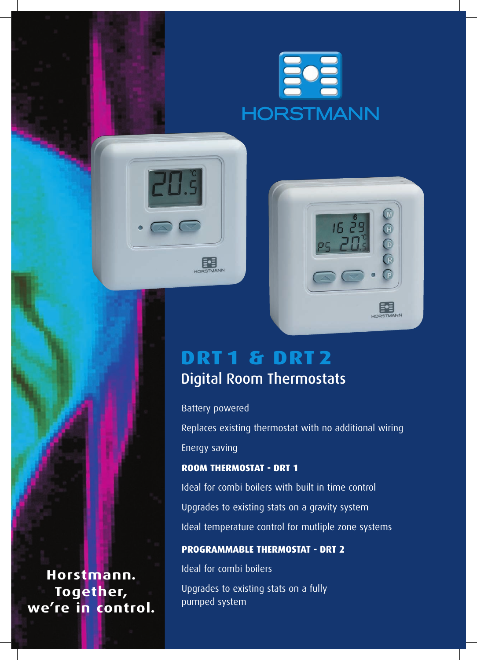



# **DRT 1 & drt 2** Digital Room Thermostats

Battery powered

 $\overline{5}$ 

FE

Replaces existing thermostat with no additional wiring Energy saving

## **ROOM THERMOSTAT - DRT 1**

Ideal for combi boilers with built in time control Upgrades to existing stats on a gravity system Ideal temperature control for mutliple zone systems

### **PROGRAMMABLE THERMOSTAT - DRT 2**

Ideal for combi boilers

Upgrades to existing stats on a fully pumped system

**Horstmann. Together, we're in control.**